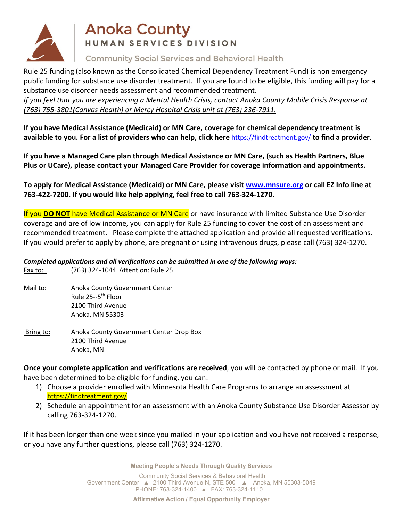

# **Anoka County** HUMAN SERVICES DIVISION

## **Community Social Services and Behavioral Health**

Rule 25 funding (also known as the Consolidated Chemical Dependency Treatment Fund) is non emergency public funding for substance use disorder treatment. If you are found to be eligible, this funding will pay for a substance use disorder needs assessment and recommended treatment.

*If you feel that you are experiencing a Mental Health Crisis, contact Anoka County Mobile Crisis Response at (763) 755-3801(Canvas Health) or Mercy Hospital Crisis unit at (763) 236-7911.*

**If you have Medical Assistance (Medicaid) or MN Care, coverage for chemical dependency treatment is available to you. For a list of providers who can help, click here** <https://findtreatment.gov/> **to find a provider**.

**If you have a Managed Care plan through Medical Assistance or MN Care, (such as Health Partners, Blue Plus or UCare), please contact your Managed Care Provider for coverage information and appointments.**

**To apply for Medical Assistance (Medicaid) or MN Care, please visit [www.mnsure.org](http://www.mnsure.org/) or call EZ Info line at 763-422-7200. If you would like help applying, feel free to call 763-324-1270.**

If you **DO NOT** have Medical Assistance or MN Care or have insurance with limited Substance Use Disorder coverage and are of low income, you can apply for Rule 25 funding to cover the cost of an assessment and recommended treatment. Please complete the attached application and provide all requested verifications. If you would prefer to apply by phone, are pregnant or using intravenous drugs, please call (763) 324-1270.

### *Completed applications and all verifications can be submitted in one of the following ways:*

- Fax to: (763) 324-1044 Attention: Rule 25
- Mail to: Anoka County Government Center Rule 25--5th Floor 2100 Third Avenue Anoka, MN 55303
- Bring to: Anoka County Government Center Drop Box 2100 Third Avenue Anoka, MN

**Once your complete application and verifications are received**, you will be contacted by phone or mail. If you have been determined to be eligible for funding, you can:

- 1) Choose a provider enrolled with Minnesota Health Care Programs to arrange an assessment at <https://findtreatment.gov/>
- 2) Schedule an appointment for an assessment with an Anoka County Substance Use Disorder Assessor by calling 763-324-1270.

If it has been longer than one week since you mailed in your application and you have not received a response, or you have any further questions, please call (763) 324-1270.

**Meeting People's Needs Through Quality Services**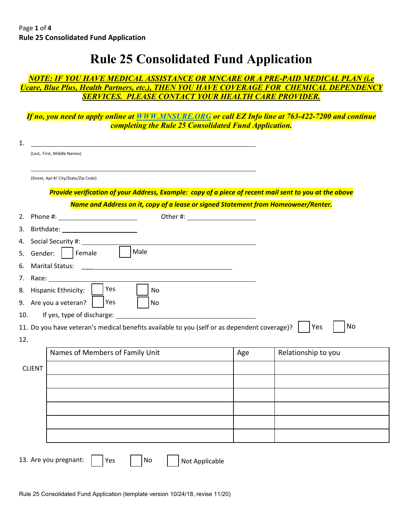# **Rule 25 Consolidated Fund Application**

### *NOTE: IF YOU HAVE MEDICAL ASSISTANCE OR MNCARE OR A PRE-PAID MEDICAL PLAN (i.e Ucare, Blue Plus, Health Partners, etc.), THEN YOU HAVE COVERAGE FOR CHEMICAL DEPENDENCY SERVICES. PLEASE CONTACT YOUR HEALTH CARE PROVIDER.*

*If no, you need to apply online at [WWW.MNSURE.ORG](http://www.mnsure.org/) or call EZ Info line at 763-422-7200 and continue completing the Rule 25 Consolidated Fund Application.* 

| (Last, First, Middle Names)                                                                                                         |                                                                                                                       |     |                                                                                                        |
|-------------------------------------------------------------------------------------------------------------------------------------|-----------------------------------------------------------------------------------------------------------------------|-----|--------------------------------------------------------------------------------------------------------|
|                                                                                                                                     |                                                                                                                       |     |                                                                                                        |
| (Street, Apt #/ City/State/Zip Code)                                                                                                |                                                                                                                       |     |                                                                                                        |
|                                                                                                                                     |                                                                                                                       |     | Provide verification of your Address, Example: copy of a piece of recent mail sent to you at the above |
|                                                                                                                                     | Name and Address on it, copy of a lease or signed Statement from Homeowner/Renter.                                    |     |                                                                                                        |
|                                                                                                                                     |                                                                                                                       |     |                                                                                                        |
| 3.<br>Birthdate: The Communication of the Communication of the Communication of the Communication of the Communication              |                                                                                                                       |     |                                                                                                        |
| Social Security #: 1990<br>4.                                                                                                       |                                                                                                                       |     |                                                                                                        |
| Female<br>Gender:<br>5.                                                                                                             | Male                                                                                                                  |     |                                                                                                        |
| <b>Marital Status:</b><br>6.                                                                                                        | <u> 1980 - Andrea Aonaichte ann an t-Aonaichte ann an t-Aonaichte ann an t-Aonaichte ann an t-Aonaichte ann an t-</u> |     |                                                                                                        |
| 7.                                                                                                                                  |                                                                                                                       |     |                                                                                                        |
| Yes<br>Hispanic Ethnicity:<br>8.                                                                                                    | No                                                                                                                    |     |                                                                                                        |
|                                                                                                                                     |                                                                                                                       |     |                                                                                                        |
| Yes                                                                                                                                 | No                                                                                                                    |     |                                                                                                        |
| If yes, type of discharge:                                                                                                          |                                                                                                                       |     |                                                                                                        |
|                                                                                                                                     |                                                                                                                       |     | No<br>Yes                                                                                              |
|                                                                                                                                     |                                                                                                                       |     |                                                                                                        |
| Names of Members of Family Unit                                                                                                     |                                                                                                                       | Age | Relationship to you                                                                                    |
|                                                                                                                                     |                                                                                                                       |     |                                                                                                        |
| <b>CLIENT</b>                                                                                                                       |                                                                                                                       |     |                                                                                                        |
|                                                                                                                                     |                                                                                                                       |     |                                                                                                        |
|                                                                                                                                     |                                                                                                                       |     |                                                                                                        |
|                                                                                                                                     |                                                                                                                       |     |                                                                                                        |
| 9. Are you a veteran?<br>10.<br>11. Do you have veteran's medical benefits available to you (self or as dependent coverage)?<br>12. |                                                                                                                       |     |                                                                                                        |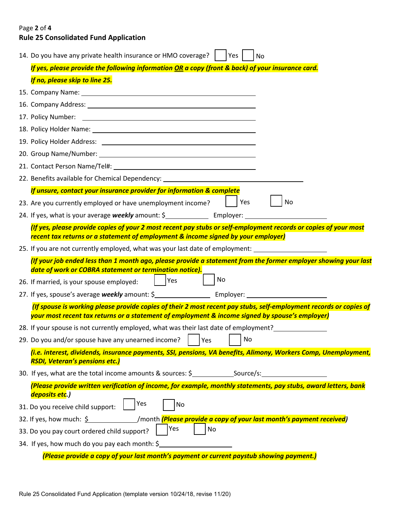## Page **2** of **4 Rule 25 Consolidated Fund Application**

|                                                                                   | 14. Do you have any private health insurance or HMO coverage?<br>Yes<br>No                                                                                                                                            |  |  |  |  |  |  |  |  |
|-----------------------------------------------------------------------------------|-----------------------------------------------------------------------------------------------------------------------------------------------------------------------------------------------------------------------|--|--|--|--|--|--|--|--|
|                                                                                   | If yes, please provide the following information OR a copy (front & back) of your insurance card.                                                                                                                     |  |  |  |  |  |  |  |  |
|                                                                                   | If no, please skip to line 25.                                                                                                                                                                                        |  |  |  |  |  |  |  |  |
|                                                                                   | 15. Company Name: 15. Company Name:                                                                                                                                                                                   |  |  |  |  |  |  |  |  |
|                                                                                   |                                                                                                                                                                                                                       |  |  |  |  |  |  |  |  |
|                                                                                   |                                                                                                                                                                                                                       |  |  |  |  |  |  |  |  |
|                                                                                   | 18. Policy Holder Name: 18. 2010 12. 2010 12. 2010 12. 2010 12. 2010 12. 2010 12. 2010 12. 2010 12. 2010 12. 20                                                                                                       |  |  |  |  |  |  |  |  |
|                                                                                   |                                                                                                                                                                                                                       |  |  |  |  |  |  |  |  |
|                                                                                   | 20. Group Name/Number: 20. 20. Crown Name/Number:                                                                                                                                                                     |  |  |  |  |  |  |  |  |
|                                                                                   |                                                                                                                                                                                                                       |  |  |  |  |  |  |  |  |
|                                                                                   | 22. Benefits available for Chemical Dependency: ________________________________                                                                                                                                      |  |  |  |  |  |  |  |  |
|                                                                                   | If unsure, contact your insurance provider for information & complete                                                                                                                                                 |  |  |  |  |  |  |  |  |
|                                                                                   | Yes<br>23. Are you currently employed or have unemployment income?<br>No                                                                                                                                              |  |  |  |  |  |  |  |  |
|                                                                                   |                                                                                                                                                                                                                       |  |  |  |  |  |  |  |  |
|                                                                                   | (If yes, please provide copies of your 2 most recent pay stubs or self-employment records or copies of your most<br>recent tax returns or a statement of employment & income signed by your employer)                 |  |  |  |  |  |  |  |  |
|                                                                                   | 25. If you are not currently employed, what was your last date of employment:                                                                                                                                         |  |  |  |  |  |  |  |  |
|                                                                                   | (If your job ended less than 1 month ago, please provide a statement from the former employer showing your last<br>date of work or COBRA statement or termination notice).                                            |  |  |  |  |  |  |  |  |
|                                                                                   | No<br>Yes<br>26. If married, is your spouse employed:                                                                                                                                                                 |  |  |  |  |  |  |  |  |
|                                                                                   |                                                                                                                                                                                                                       |  |  |  |  |  |  |  |  |
|                                                                                   | (If spouse is working please provide copies of their 2 most recent pay stubs, self-employment records or copies of<br>your most recent tax returns or a statement of employment & income signed by spouse's employer) |  |  |  |  |  |  |  |  |
|                                                                                   | 28. If your spouse is not currently employed, what was their last date of employment?                                                                                                                                 |  |  |  |  |  |  |  |  |
|                                                                                   | 29. Do you and/or spouse have any unearned income?<br>No<br>Yes                                                                                                                                                       |  |  |  |  |  |  |  |  |
|                                                                                   | (i.e. interest, dividends, insurance payments, SSI, pensions, VA benefits, Alimony, Workers Comp, Unemployment,<br><b>RSDI, Veteran's pensions etc.)</b>                                                              |  |  |  |  |  |  |  |  |
| 30. If yes, what are the total income amounts & sources: \$ _____________________ |                                                                                                                                                                                                                       |  |  |  |  |  |  |  |  |
|                                                                                   | (Please provide written verification of income, for example, monthly statements, pay stubs, award letters, bank<br>deposits etc.)                                                                                     |  |  |  |  |  |  |  |  |
|                                                                                   | Yes<br>No<br>31. Do you receive child support:                                                                                                                                                                        |  |  |  |  |  |  |  |  |
|                                                                                   | 32. If yes, how much: \$ //month <b>(Please provide a copy of your last month's payment received)</b>                                                                                                                 |  |  |  |  |  |  |  |  |
|                                                                                   | <b>Yes</b><br>  No<br>33. Do you pay court ordered child support?                                                                                                                                                     |  |  |  |  |  |  |  |  |
|                                                                                   | 34. If yes, how much do you pay each month: \$                                                                                                                                                                        |  |  |  |  |  |  |  |  |
|                                                                                   | (Please provide a copy of your last month's payment or current paystub showing payment.)                                                                                                                              |  |  |  |  |  |  |  |  |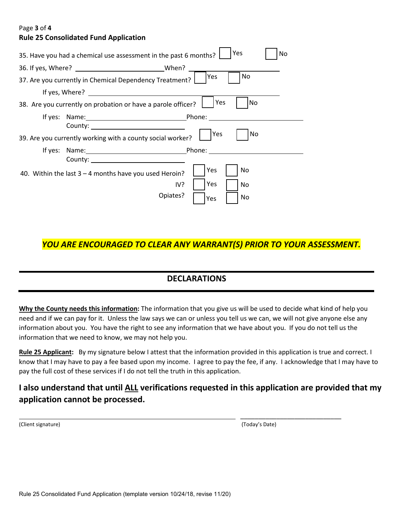#### Page **3** of **4**

#### **Rule 25 Consolidated Fund Application**

| Yes<br>No<br>35. Have you had a chemical use assessment in the past 6 months? |
|-------------------------------------------------------------------------------|
| When?                                                                         |
| No.<br>Yes<br>37. Are you currently in Chemical Dependency Treatment?         |
| If yes, $Where?$                                                              |
| Yes<br>No<br>38. Are you currently on probation or have a parole officer?     |
|                                                                               |
| County: <u>________________________</u>                                       |
| Yes<br>No<br>39. Are you currently working with a county social worker?       |
| If yes: Name: Phone:                                                          |
|                                                                               |
| Yes<br>No<br>40. Within the last $3 - 4$ months have you used Heroin?         |
| l Yes<br>IV?<br>No                                                            |
| Opiates?<br>No<br>Yes                                                         |

## *YOU ARE ENCOURAGED TO CLEAR ANY WARRANT(S) PRIOR TO YOUR ASSESSMENT.*

## **DECLARATIONS**

**Why the County needs this information:** The information that you give us will be used to decide what kind of help you need and if we can pay for it. Unless the law says we can or unless you tell us we can, we will not give anyone else any information about you. You have the right to see any information that we have about you. If you do not tell us the information that we need to know, we may not help you.

**Rule 25 Applicant:** By my signature below I attest that the information provided in this application is true and correct. I know that I may have to pay a fee based upon my income. I agree to pay the fee, if any. I acknowledge that I may have to pay the full cost of these services if I do not tell the truth in this application.

## **I also understand that until ALL verifications requested in this application are provided that my application cannot be processed.**

(Client signature) (Today's Date)

\_\_\_\_\_\_\_\_\_\_\_\_\_\_\_\_\_\_\_\_\_\_\_\_\_\_\_\_